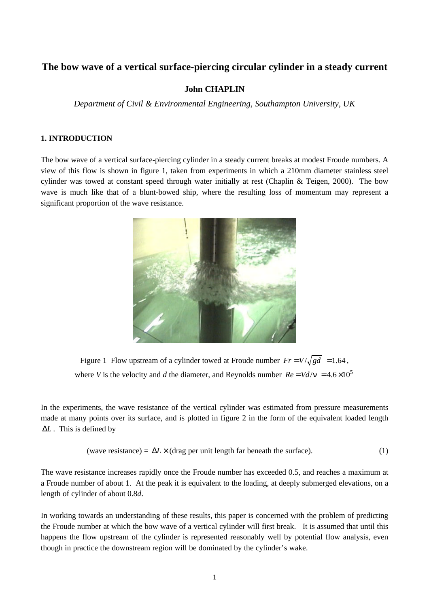# **The bow wave of a vertical surface-piercing circular cylinder in a steady current**

#### **John CHAPLIN**

*Department of Civil & Environmental Engineering, Southampton University, UK*

## **1. INTRODUCTION**

The bow wave of a vertical surface-piercing cylinder in a steady current breaks at modest Froude numbers. A view of this flow is shown in figure 1, taken from experiments in which a 210mm diameter stainless steel cylinder was towed at constant speed through water initially at rest (Chaplin & Teigen, 2000). The bow wave is much like that of a blunt-bowed ship, where the resulting loss of momentum may represent a significant proportion of the wave resistance.



Figure 1 Flow upstream of a cylinder towed at Froude number  $Fr = V/\sqrt{gd} = 1.64$ , where *V* is the velocity and *d* the diameter, and Reynolds number  $Re = Vd/v = 4.6 \times 10^5$ 

In the experiments, the wave resistance of the vertical cylinder was estimated from pressure measurements made at many points over its surface, and is plotted in figure 2 in the form of the equivalent loaded length Δ*L* . This is defined by

(wave resistance) = 
$$
\Delta L \times
$$
 (drag per unit length far beneath the surface). (1)

The wave resistance increases rapidly once the Froude number has exceeded 0.5, and reaches a maximum at a Froude number of about 1. At the peak it is equivalent to the loading, at deeply submerged elevations, on a length of cylinder of about 0.8*d*.

In working towards an understanding of these results, this paper is concerned with the problem of predicting the Froude number at which the bow wave of a vertical cylinder will first break. It is assumed that until this happens the flow upstream of the cylinder is represented reasonably well by potential flow analysis, even though in practice the downstream region will be dominated by the cylinder's wake.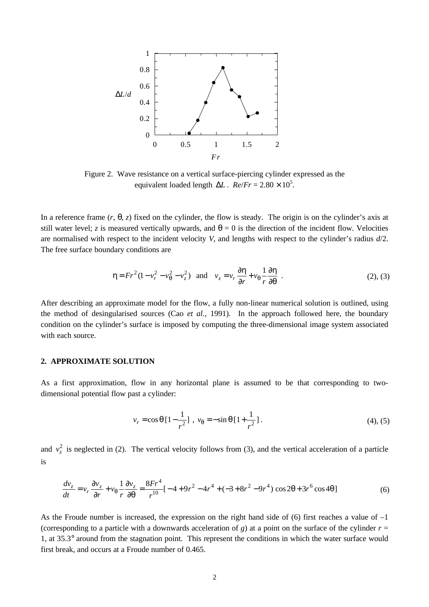

Figure 2. Wave resistance on a vertical surface-piercing cylinder expressed as the equivalent loaded length  $\Delta L$ .  $Re/Fr = 2.80 \times 10^5$ .

In a reference frame  $(r, \theta, z)$  fixed on the cylinder, the flow is steady. The origin is on the cylinder's axis at still water level; *z* is measured vertically upwards, and  $\theta = 0$  is the direction of the incident flow. Velocities are normalised with respect to the incident velocity *V*, and lengths with respect to the cylinder's radius *d*/2. The free surface boundary conditions are

$$
\eta = Fr^2(1 - v_r^2 - v_\theta^2 - v_z^2) \quad \text{and} \quad v_z = v_r \frac{\partial \eta}{\partial r} + v_\theta \frac{1}{r} \frac{\partial \eta}{\partial \theta} \quad . \tag{2), (3)}
$$

After describing an approximate model for the flow, a fully non-linear numerical solution is outlined, using the method of desingularised sources (Cao *et al.*, 1991). In the approach followed here, the boundary condition on the cylinder's surface is imposed by computing the three-dimensional image system associated with each source.

### **2. APPROXIMATE SOLUTION**

As a first approximation, flow in any horizontal plane is assumed to be that corresponding to twodimensional potential flow past a cylinder:

$$
v_r = \cos\theta \left[1 - \frac{1}{r^2}\right]
$$
,  $v_\theta = -\sin\theta \left[1 + \frac{1}{r^2}\right]$ . (4), (5)

and  $v_z^2$  is neglected in (2). The vertical velocity follows from (3), and the vertical acceleration of a particle is

$$
\frac{dv_z}{dt} = v_r \frac{\partial v_z}{\partial r} + v_\theta \frac{1}{r} \frac{\partial v_z}{\partial \theta} = \frac{8Fr^4}{r^{10}} [-4 + 9r^2 - 4r^4 + (-3 + 8r^2 - 9r^4) \cos 2\theta + 3r^6 \cos 4\theta ] \tag{6}
$$

As the Froude number is increased, the expression on the right hand side of (6) first reaches a value of –1 (corresponding to a particle with a downwards acceleration of *g*) at a point on the surface of the cylinder  $r =$ 1, at 35.3° around from the stagnation point. This represent the conditions in which the water surface would first break, and occurs at a Froude number of 0.465.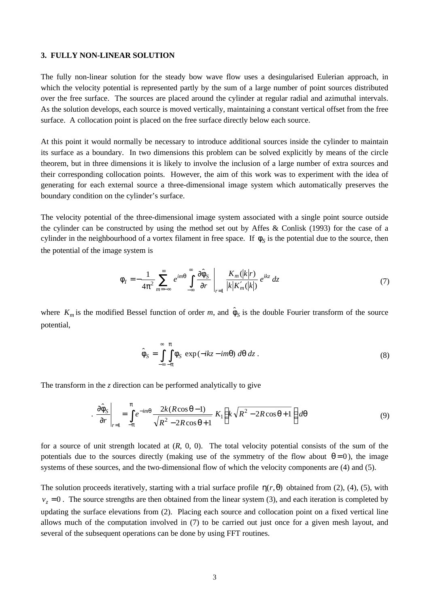#### **3. FULLY NON-LINEAR SOLUTION**

The fully non-linear solution for the steady bow wave flow uses a desingularised Eulerian approach, in which the velocity potential is represented partly by the sum of a large number of point sources distributed over the free surface. The sources are placed around the cylinder at regular radial and azimuthal intervals. As the solution develops, each source is moved vertically, maintaining a constant vertical offset from the free surface. A collocation point is placed on the free surface directly below each source.

At this point it would normally be necessary to introduce additional sources inside the cylinder to maintain its surface as a boundary. In two dimensions this problem can be solved explicitly by means of the circle theorem, but in three dimensions it is likely to involve the inclusion of a large number of extra sources and their corresponding collocation points. However, the aim of this work was to experiment with the idea of generating for each external source a three-dimensional image system which automatically preserves the boundary condition on the cylinder's surface.

The velocity potential of the three-dimensional image system associated with a single point source outside the cylinder can be constructed by using the method set out by Affes & Conlisk (1993) for the case of a cylinder in the neighbourhood of a vortex filament in free space. If  $\phi_S$  is the potential due to the source, then the potential of the image system is

$$
\phi_I = -\frac{1}{4\pi^2} \sum_{m=-\infty}^{\infty} e^{im\theta} \int_{-\infty}^{\infty} \frac{\partial \hat{\phi}_S}{\partial r} \bigg|_{r=1} \frac{K_m(|k|r)}{|k|K'_m(|k|)} e^{ikz} dz \tag{7}
$$

where  $K_m$  is the modified Bessel function of order *m*, and  $\hat{\phi}_S$  is the double Fourier transform of the source potential,

$$
\hat{\phi}_S = \int_{-\infty}^{\infty} \int_{-\pi}^{\pi} \phi_S \exp(-ikz - im\theta) \ d\theta \ dz.
$$
\n(8)

The transform in the *z* direction can be performed analytically to give

$$
\left. \frac{\partial \hat{\phi}_S}{\partial r} \right|_{r=1} = \int_{-\pi}^{\pi} e^{-im\theta} \frac{2k(R\cos\theta - 1)}{\sqrt{R^2 - 2R\cos\theta + 1}} K_1 \left( k\sqrt{R^2 - 2R\cos\theta + 1} \right) d\theta \tag{9}
$$

for a source of unit strength located at (*R*, 0, 0). The total velocity potential consists of the sum of the potentials due to the sources directly (making use of the symmetry of the flow about  $\theta = 0$ ), the image systems of these sources, and the two-dimensional flow of which the velocity components are (4) and (5).

The solution proceeds iteratively, starting with a trial surface profile  $\eta(r,\theta)$  obtained from (2), (4), (5), with  $v<sub>z</sub> = 0$ . The source strengths are then obtained from the linear system (3), and each iteration is completed by updating the surface elevations from (2). Placing each source and collocation point on a fixed vertical line allows much of the computation involved in (7) to be carried out just once for a given mesh layout, and several of the subsequent operations can be done by using FFT routines.